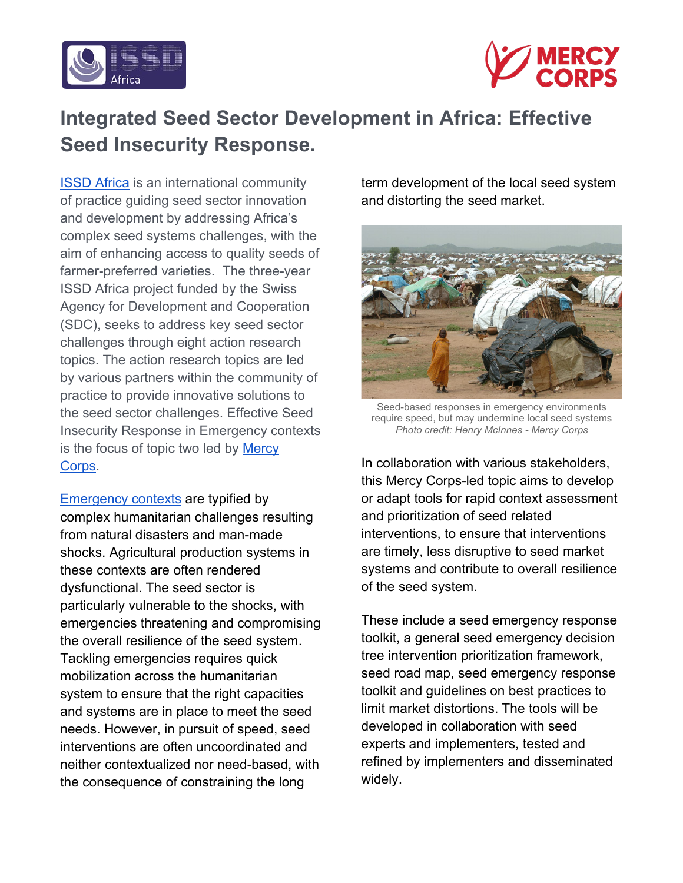



# **Integrated Seed Sector Development in Africa: Effective Seed Insecurity Response.**

[ISSD Africa](https://issdafrica.org/) is an international community of practice guiding seed sector innovation and development by addressing Africa's complex seed systems challenges, with the aim of enhancing access to quality seeds of farmer-preferred varieties. The three-year ISSD Africa project funded by the Swiss Agency for Development and Cooperation (SDC), seeks to address key seed sector challenges through eight action research topics. The action research topics are led by various partners within the community of practice to provide innovative solutions to the seed sector challenges. Effective Seed Insecurity Response in Emergency contexts is the focus of topic two led by [Mercy](https://www.mercycorps.org/)  [Corps.](https://www.mercycorps.org/)

[Emergency contexts](https://www.who.int/hac/about/definitions/en/) are typified by complex humanitarian challenges resulting from natural disasters and man-made shocks. Agricultural production systems in these contexts are often rendered dysfunctional. The seed sector is particularly vulnerable to the shocks, with emergencies threatening and compromising the overall resilience of the seed system. Tackling emergencies requires quick mobilization across the humanitarian system to ensure that the right capacities and systems are in place to meet the seed needs. However, in pursuit of speed, seed interventions are often uncoordinated and neither contextualized nor need-based, with the consequence of constraining the long

term development of the local seed system and distorting the seed market.



Seed-based responses in emergency environments require speed, but may undermine local seed systems *Photo credit: Henry McInnes - Mercy Corps*

In collaboration with various stakeholders, this Mercy Corps-led topic aims to develop or adapt tools for rapid context assessment and prioritization of seed related interventions, to ensure that interventions are timely, less disruptive to seed market systems and contribute to overall resilience of the seed system.

These include a seed emergency response toolkit, a general seed emergency decision tree intervention prioritization framework, seed road map, seed emergency response toolkit and guidelines on best practices to limit market distortions. The tools will be developed in collaboration with seed experts and implementers, tested and refined by implementers and disseminated widely.